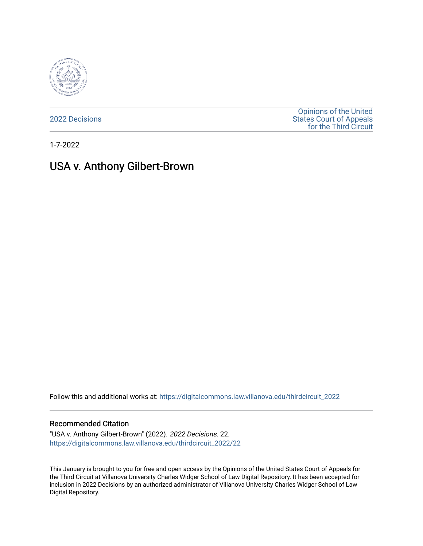

[2022 Decisions](https://digitalcommons.law.villanova.edu/thirdcircuit_2022)

[Opinions of the United](https://digitalcommons.law.villanova.edu/thirdcircuit)  [States Court of Appeals](https://digitalcommons.law.villanova.edu/thirdcircuit)  [for the Third Circuit](https://digitalcommons.law.villanova.edu/thirdcircuit) 

1-7-2022

# USA v. Anthony Gilbert-Brown

Follow this and additional works at: [https://digitalcommons.law.villanova.edu/thirdcircuit\\_2022](https://digitalcommons.law.villanova.edu/thirdcircuit_2022?utm_source=digitalcommons.law.villanova.edu%2Fthirdcircuit_2022%2F22&utm_medium=PDF&utm_campaign=PDFCoverPages) 

#### Recommended Citation

"USA v. Anthony Gilbert-Brown" (2022). 2022 Decisions. 22. [https://digitalcommons.law.villanova.edu/thirdcircuit\\_2022/22](https://digitalcommons.law.villanova.edu/thirdcircuit_2022/22?utm_source=digitalcommons.law.villanova.edu%2Fthirdcircuit_2022%2F22&utm_medium=PDF&utm_campaign=PDFCoverPages)

This January is brought to you for free and open access by the Opinions of the United States Court of Appeals for the Third Circuit at Villanova University Charles Widger School of Law Digital Repository. It has been accepted for inclusion in 2022 Decisions by an authorized administrator of Villanova University Charles Widger School of Law Digital Repository.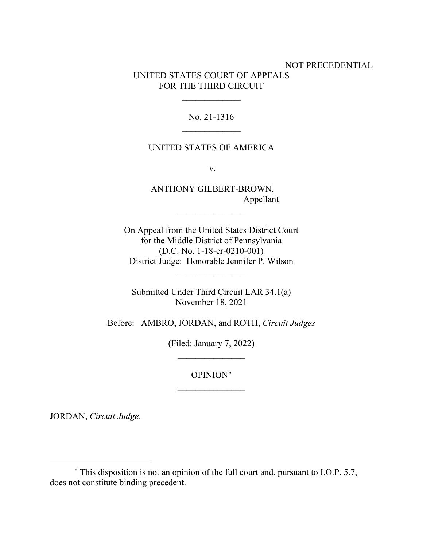# NOT PRECEDENTIAL UNITED STATES COURT OF APPEALS FOR THE THIRD CIRCUIT

# No. 21-1316  $\overline{\phantom{a}}$

 $\frac{1}{2}$ 

#### UNITED STATES OF AMERICA

v.

ANTHONY GILBERT-BROWN, Appellant

 $\frac{1}{2}$ 

On Appeal from the United States District Court for the Middle District of Pennsylvania (D.C. No. 1-18-cr-0210-001) District Judge: Honorable Jennifer P. Wilson

Submitted Under Third Circuit LAR 34.1(a) November 18, 2021

 $\overline{\phantom{a}}$  , where  $\overline{\phantom{a}}$ 

Before: AMBRO, JORDAN, and ROTH, *Circuit Judges*

(Filed: January 7, 2022)  $\frac{1}{2}$ 

> OPINION[∗](#page-1-0)  $\frac{1}{2}$

JORDAN, *Circuit Judge*.

<span id="page-1-0"></span><sup>∗</sup> This disposition is not an opinion of the full court and, pursuant to I.O.P. 5.7, does not constitute binding precedent.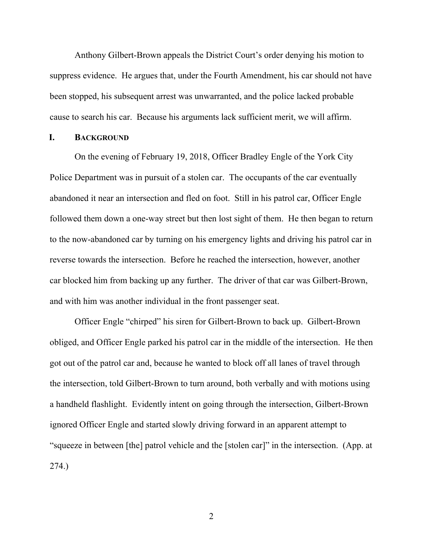Anthony Gilbert-Brown appeals the District Court's order denying his motion to suppress evidence. He argues that, under the Fourth Amendment, his car should not have been stopped, his subsequent arrest was unwarranted, and the police lacked probable cause to search his car. Because his arguments lack sufficient merit, we will affirm.

## **I. BACKGROUND**

On the evening of February 19, 2018, Officer Bradley Engle of the York City Police Department was in pursuit of a stolen car. The occupants of the car eventually abandoned it near an intersection and fled on foot. Still in his patrol car, Officer Engle followed them down a one-way street but then lost sight of them. He then began to return to the now-abandoned car by turning on his emergency lights and driving his patrol car in reverse towards the intersection. Before he reached the intersection, however, another car blocked him from backing up any further. The driver of that car was Gilbert-Brown, and with him was another individual in the front passenger seat.

Officer Engle "chirped" his siren for Gilbert-Brown to back up.Gilbert-Brown obliged, and Officer Engle parked his patrol car in the middle of the intersection. He then got out of the patrol car and, because he wanted to block off all lanes of travel through the intersection, told Gilbert-Brown to turn around, both verbally and with motions using a handheld flashlight. Evidently intent on going through the intersection, Gilbert-Brown ignored Officer Engle and started slowly driving forward in an apparent attempt to "squeeze in between [the] patrol vehicle and the [stolen car]" in the intersection. (App. at 274.)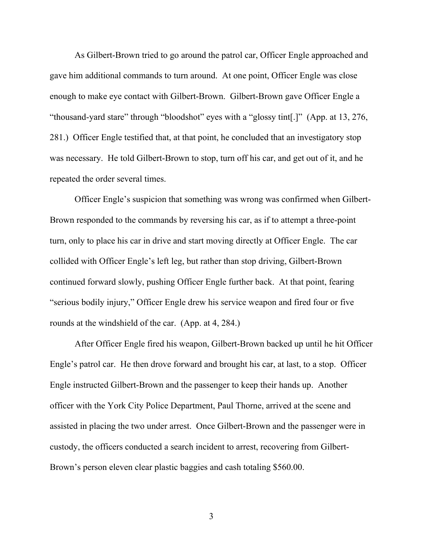As Gilbert-Brown tried to go around the patrol car, Officer Engle approached and gave him additional commands to turn around. At one point, Officer Engle was close enough to make eye contact with Gilbert-Brown. Gilbert-Brown gave Officer Engle a "thousand-yard stare" through "bloodshot" eyes with a "glossy tint[.]" (App. at 13, 276, 281.) Officer Engle testified that, at that point, he concluded that an investigatory stop was necessary. He told Gilbert-Brown to stop, turn off his car, and get out of it, and he repeated the order several times.

Officer Engle's suspicion that something was wrong was confirmed when Gilbert-Brown responded to the commands by reversing his car, as if to attempt a three-point turn, only to place his car in drive and start moving directly at Officer Engle. The car collided with Officer Engle's left leg, but rather than stop driving, Gilbert-Brown continued forward slowly, pushing Officer Engle further back. At that point, fearing "serious bodily injury," Officer Engle drew his service weapon and fired four or five rounds at the windshield of the car. (App. at 4, 284.)

After Officer Engle fired his weapon, Gilbert-Brown backed up until he hit Officer Engle's patrol car. He then drove forward and brought his car, at last, to a stop. Officer Engle instructed Gilbert-Brown and the passenger to keep their hands up. Another officer with the York City Police Department, Paul Thorne, arrived at the scene and assisted in placing the two under arrest. Once Gilbert-Brown and the passenger were in custody, the officers conducted a search incident to arrest, recovering from Gilbert-Brown's person eleven clear plastic baggies and cash totaling \$560.00.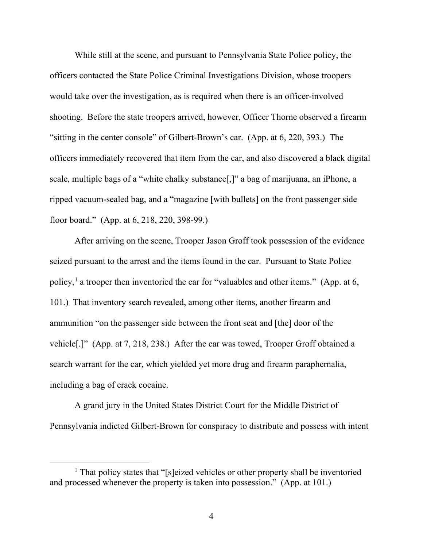While still at the scene, and pursuant to Pennsylvania State Police policy, the officers contacted the State Police Criminal Investigations Division, whose troopers would take over the investigation, as is required when there is an officer-involved shooting. Before the state troopers arrived, however, Officer Thorne observed a firearm "sitting in the center console" of Gilbert-Brown's car. (App. at 6, 220, 393.) The officers immediately recovered that item from the car, and also discovered a black digital scale, multiple bags of a "white chalky substance[,]" a bag of marijuana, an iPhone, a ripped vacuum-sealed bag, and a "magazine [with bullets] on the front passenger side floor board." (App. at 6, 218, 220, 398-99.)

After arriving on the scene, Trooper Jason Groff took possession of the evidence seized pursuant to the arrest and the items found in the car. Pursuant to State Police policy,<sup>[1](#page-4-0)</sup> a trooper then inventoried the car for "valuables and other items." (App. at 6, 101.) That inventory search revealed, among other items, another firearm and ammunition "on the passenger side between the front seat and [the] door of the vehicle[.]" (App. at 7, 218, 238.)After the car was towed, Trooper Groff obtained a search warrant for the car, which yielded yet more drug and firearm paraphernalia, including a bag of crack cocaine.

A grand jury in the United States District Court for the Middle District of Pennsylvania indicted Gilbert-Brown for conspiracy to distribute and possess with intent

<span id="page-4-0"></span><sup>&</sup>lt;sup>1</sup> That policy states that "[s]eized vehicles or other property shall be inventoried and processed whenever the property is taken into possession." (App. at 101.)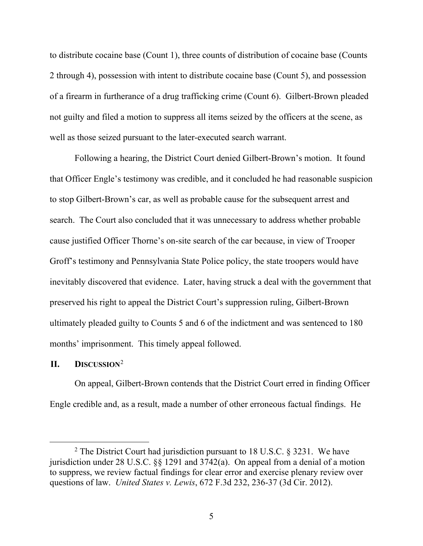to distribute cocaine base (Count 1), three counts of distribution of cocaine base (Counts 2 through 4), possession with intent to distribute cocaine base (Count 5), and possession of a firearm in furtherance of a drug trafficking crime (Count 6). Gilbert-Brown pleaded not guilty and filed a motion to suppress all items seized by the officers at the scene, as well as those seized pursuant to the later-executed search warrant.

Following a hearing, the District Court denied Gilbert-Brown's motion. It found that Officer Engle's testimony was credible, and it concluded he had reasonable suspicion to stop Gilbert-Brown's car, as well as probable cause for the subsequent arrest and search. The Court also concluded that it was unnecessary to address whether probable cause justified Officer Thorne's on-site search of the car because, in view of Trooper Groff's testimony and Pennsylvania State Police policy, the state troopers would have inevitably discovered that evidence.Later, having struck a deal with the government that preserved his right to appeal the District Court's suppression ruling, Gilbert-Brown ultimately pleaded guilty to Counts 5 and 6 of the indictment and was sentenced to 180 months' imprisonment. This timely appeal followed.

# **II. DISCUSSION**[2](#page-5-0)

On appeal, Gilbert-Brown contends that the District Court erred in finding Officer Engle credible and, as a result, made a number of other erroneous factual findings. He

<span id="page-5-0"></span><sup>&</sup>lt;sup>2</sup> The District Court had jurisdiction pursuant to 18 U.S.C.  $\S$  3231. We have jurisdiction under 28 U.S.C. §§ 1291 and 3742(a). On appeal from a denial of a motion to suppress, we review factual findings for clear error and exercise plenary review over questions of law. *United States v. Lewis*, 672 F.3d 232, 236-37 (3d Cir. 2012).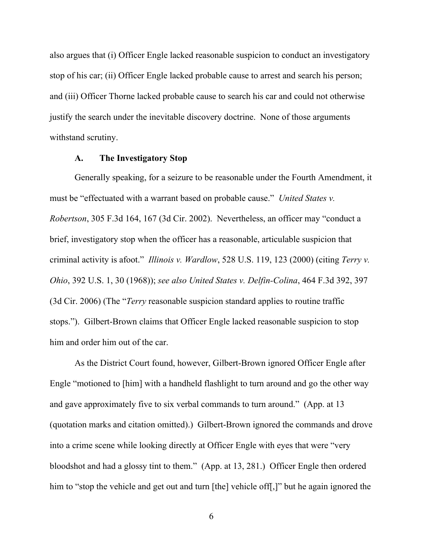also argues that (i) Officer Engle lacked reasonable suspicion to conduct an investigatory stop of his car; (ii) Officer Engle lacked probable cause to arrest and search his person; and (iii) Officer Thorne lacked probable cause to search his car and could not otherwise justify the search under the inevitable discovery doctrine. None of those arguments withstand scrutiny.

#### **A. The Investigatory Stop**

Generally speaking, for a seizure to be reasonable under the Fourth Amendment, it must be "effectuated with a warrant based on probable cause." *United States v. Robertson*, 305 F.3d 164, 167 (3d Cir. 2002). Nevertheless, an officer may "conduct a brief, investigatory stop when the officer has a reasonable, articulable suspicion that criminal activity is afoot." *Illinois v. Wardlow*, 528 U.S. 119, 123 (2000) (citing *Terry v. Ohio*, 392 U.S. 1, 30 (1968)); *see also United States v. Delfin-Colina*, 464 F.3d 392, 397 (3d Cir. 2006) (The "*Terry* reasonable suspicion standard applies to routine traffic stops."). Gilbert-Brown claims that Officer Engle lacked reasonable suspicion to stop him and order him out of the car.

As the District Court found, however, Gilbert-Brown ignored Officer Engle after Engle "motioned to [him] with a handheld flashlight to turn around and go the other way and gave approximately five to six verbal commands to turn around." (App. at 13 (quotation marks and citation omitted).) Gilbert-Brown ignored the commands and drove into a crime scene while looking directly at Officer Engle with eyes that were "very bloodshot and had a glossy tint to them." (App. at 13, 281.) Officer Engle then ordered him to "stop the vehicle and get out and turn [the] vehicle off[,]" but he again ignored the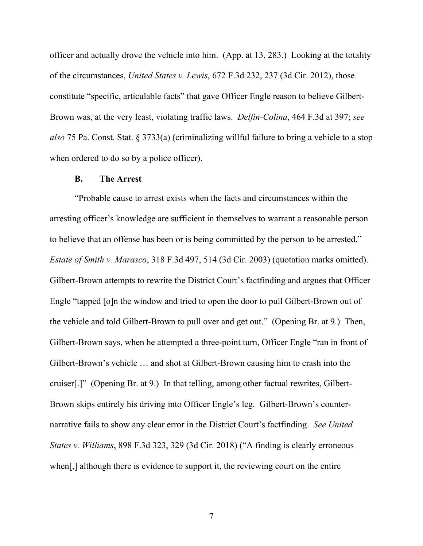officer and actually drove the vehicle into him. (App. at 13, 283.) Looking at the totality of the circumstances, *United States v. Lewis*, 672 F.3d 232, 237 (3d Cir. 2012), those constitute "specific, articulable facts" that gave Officer Engle reason to believe Gilbert-Brown was, at the very least, violating traffic laws. *Delfin-Colina*, 464 F.3d at 397; *see also* 75 Pa. Const. Stat. § 3733(a) (criminalizing willful failure to bring a vehicle to a stop when ordered to do so by a police officer).

## **B. The Arrest**

"Probable cause to arrest exists when the facts and circumstances within the arresting officer's knowledge are sufficient in themselves to warrant a reasonable person to believe that an offense has been or is being committed by the person to be arrested." *Estate of Smith v. Marasco*, 318 F.3d 497, 514 (3d Cir. 2003) (quotation marks omitted). Gilbert-Brown attempts to rewrite the District Court's factfinding and argues that Officer Engle "tapped [o]n the window and tried to open the door to pull Gilbert-Brown out of the vehicle and told Gilbert-Brown to pull over and get out." (Opening Br. at 9.) Then, Gilbert-Brown says, when he attempted a three-point turn, Officer Engle "ran in front of Gilbert-Brown's vehicle … and shot at Gilbert-Brown causing him to crash into the cruiser[.]" (Opening Br. at 9.) In that telling, among other factual rewrites, Gilbert-Brown skips entirely his driving into Officer Engle's leg. Gilbert-Brown's counternarrative fails to show any clear error in the District Court's factfinding. *See United States v. Williams*, 898 F.3d 323, 329 (3d Cir. 2018) ("A finding is clearly erroneous when[,] although there is evidence to support it, the reviewing court on the entire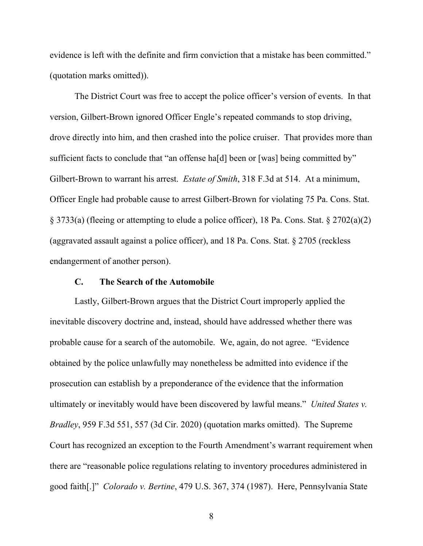evidence is left with the definite and firm conviction that a mistake has been committed." (quotation marks omitted)).

The District Court was free to accept the police officer's version of events. In that version, Gilbert-Brown ignored Officer Engle's repeated commands to stop driving, drove directly into him, and then crashed into the police cruiser. That provides more than sufficient facts to conclude that "an offense ha[d] been or [was] being committed by" Gilbert-Brown to warrant his arrest. *Estate of Smith*, 318 F.3d at 514. At a minimum, Officer Engle had probable cause to arrest Gilbert-Brown for violating 75 Pa. Cons. Stat. § 3733(a) (fleeing or attempting to elude a police officer), 18 Pa. Cons. Stat. § 2702(a)(2) (aggravated assault against a police officer), and 18 Pa. Cons. Stat. § 2705 (reckless endangerment of another person).

# **C. The Search of the Automobile**

Lastly, Gilbert-Brown argues that the District Court improperly applied the inevitable discovery doctrine and, instead, should have addressed whether there was probable cause for a search of the automobile. We, again, do not agree. "Evidence obtained by the police unlawfully may nonetheless be admitted into evidence if the prosecution can establish by a preponderance of the evidence that the information ultimately or inevitably would have been discovered by lawful means." *United States v. Bradley*, 959 F.3d 551, 557 (3d Cir. 2020) (quotation marks omitted). The Supreme Court has recognized an exception to the Fourth Amendment's warrant requirement when there are "reasonable police regulations relating to inventory procedures administered in good faith[.]" *Colorado v. Bertine*, 479 U.S. 367, 374 (1987). Here, Pennsylvania State